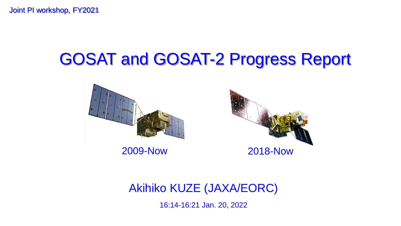Joint PI workshop, FY2021

# GOSAT and GOSAT-2 Progress Report





Akihiko KUZE (JAXA/EORC)

16:14-16:21 Jan. 20, 2022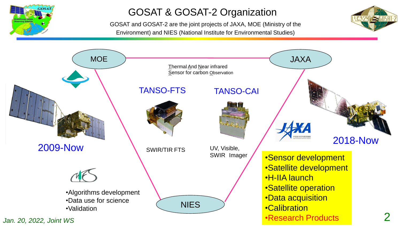

### GOSAT & GOSAT-2 Organization

GOSAT and GOSAT-2 are the joint projects of JAXA, MOE (Ministry of the Environment) and NIES (National Institute for Environmental Studies)



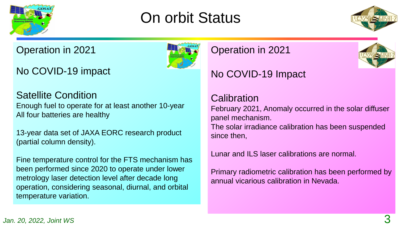

## On orbit Status



### Operation in 2021

No COVID-19 impact

### Satellite Condition

Enough fuel to operate for at least another 10-year All four batteries are healthy

13-year data set of JAXA EORC research product (partial column density).

Fine temperature control for the FTS mechanism has been performed since 2020 to operate under lower metrology laser detection level after decade long operation, considering seasonal, diurnal, and orbital temperature variation.

### Operation in 2021



### No COVID-19 Impact

### **Calibration**

February 2021, Anomaly occurred in the solar diffuser panel mechanism. The solar irradiance calibration has been suspended since then,

Lunar and ILS laser calibrations are normal.

Primary radiometric calibration has been performed by annual vicarious calibration in Nevada.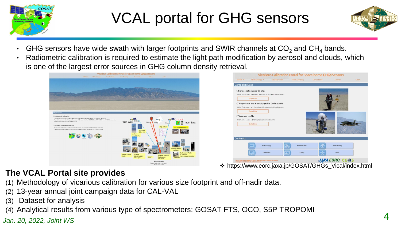

# VCAL portal for GHG sensors



- GHG sensors have wide swath with larger footprints and SWIR channels at  $CO<sub>2</sub>$  and CH<sub>4</sub> bands.
- Radiometric calibration is required to estimate the light path modification by aerosol and clouds, which is one of the largest error sources in GHG column density retrieval.





❖ https://www.eorc.jaxa.jp/GOSAT/GHGs\_Vical/index.html

#### **The VCAL Portal site provides**

- (1) Methodology of vicarious calibration for various size footprint and off-nadir data.
- (2) 13-year annual joint campaign data for CAL-VAL
- (3) Dataset for analysis
- *Jan. 20, 2022, Joint WS* 4 (4) Analytical results from various type of spectrometers: GOSAT FTS, OCO, S5P TROPOMI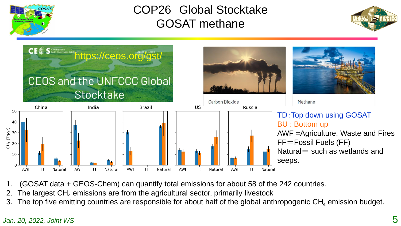

### COP26 Global Stocktake GOSAT methane





- 1. (GOSAT data + GEOS-Chem) can quantify total emissions for about 58 of the 242 countries.
- The largest  $CH<sub>4</sub>$  emissions are from the agricultural sector, primarily livestock
- 3. The top five emitting countries are responsible for about half of the global anthropogenic  $CH<sub>4</sub>$  emission budget.

#### *Jan. 20, 2022, Joint WS*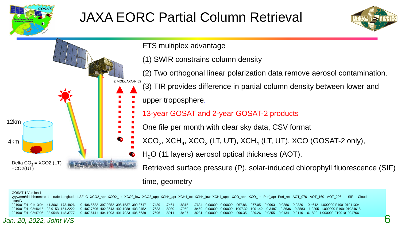

12km

4km

 $-CO2(UT)$ 

## JAXA EORC Partial Column Retrieval



FTS multiplex advantage

(1) SWIR constrains column density

©MOE/JAXA/NIES (2) Two orthogonal linear polarization data remove aerosol contamination. (3) TIR provides difference in partial column density between lower and

upper troposphere.

- 13-year GOSAT and 2-year GOSAT-2 products
- One file per month with clear sky data, CSV format
- $\text{XCO}_2$ ,  $\text{XCH}_4$ ,  $\text{XCO}_2$  (LT, UT),  $\text{XCH}_4$  (LT, UT),  $\text{XCO}$  (GOSAT-2 only),
	- $H<sub>2</sub>O$  (11 layers) aerosol optical thickness (AOT),

Retrieved surface pressure (P), solar-induced chlorophyll fluorescence (SIF)

time, geometry

GOSAT-1 Version 1 yyyy/mm/dd hh:mm:ss Latitude Longitude LSFLG XCO2\_apr XCO2\_tot XCO2\_low XCO2\_upp XCH4\_apr XCH4\_tot XCH4\_low XCH4\_upp XCO\_apr XCO\_tot Psrf\_apr Psrf\_ret AOT\_076 AOT\_160 AOT\_206 SIF Cloud scanID 2019/01/01 01:13:04 -41.3061 173.4926 0 406.5682 397.9352 395.1537 399.3747 1.7439 1.7464 1.8315 1.7634 0.00000 0.00000 967.86 977.05 0.0963 0.0886 0.0820 10.4642 -1.000000 F190101011304 2019/01/01 02:46:15 -23.9153 151.2222 0 407.7506 402.3643 402.1988 403.2452 1.7683 1.8030 1.7950 1.8469 0.00000 0.00000 1007.32 1001.42 0.3487 0.3636 0.3583 1.2205 -1.000000 F190101024615 2019/01/01 02:47:06 -23.9548 148.3777 0 407.6141 404.1903 401.7923 406.6639 1.7696 1.8011 1.8437 1.8281 0.00000 0.00000 990.35 989.26 0.0255 0.0134 0.0110 -0.1822 -1.000000 F190101024706

#### *Jan. 20, 2022, Joint WS*

Delta  $CO<sub>2</sub> = XCO2$  (LT)